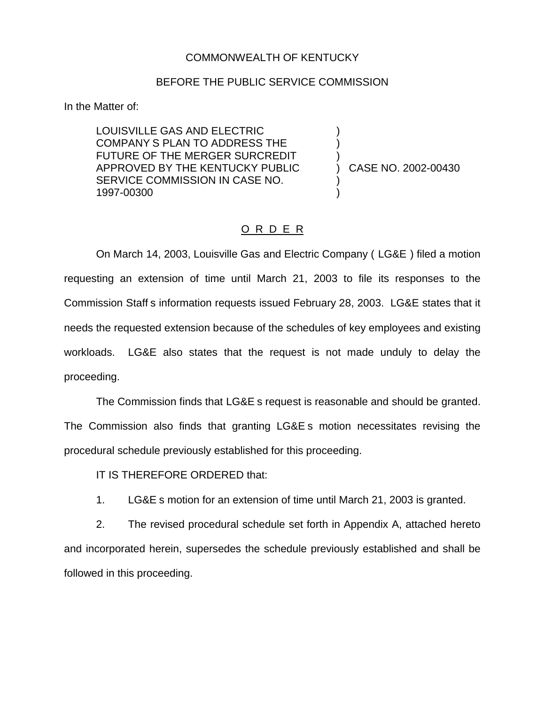#### COMMONWEALTH OF KENTUCKY

#### BEFORE THE PUBLIC SERVICE COMMISSION

In the Matter of:

LOUISVILLE GAS AND ELECTRIC COMPANY S PLAN TO ADDRESS THE FUTURE OF THE MERGER SURCREDIT APPROVED BY THE KENTUCKY PUBLIC SERVICE COMMISSION IN CASE NO. 1997-00300

) CASE NO. 2002-00430

) ) )

) )

## O R D E R

On March 14, 2003, Louisville Gas and Electric Company ( LG&E ) filed a motion requesting an extension of time until March 21, 2003 to file its responses to the Commission Staff s information requests issued February 28, 2003. LG&E states that it needs the requested extension because of the schedules of key employees and existing workloads. LG&E also states that the request is not made unduly to delay the proceeding.

The Commission finds that LG&E s request is reasonable and should be granted. The Commission also finds that granting LG&E s motion necessitates revising the procedural schedule previously established for this proceeding.

IT IS THEREFORE ORDERED that:

1. LG&E s motion for an extension of time until March 21, 2003 is granted.

2. The revised procedural schedule set forth in Appendix A, attached hereto and incorporated herein, supersedes the schedule previously established and shall be followed in this proceeding.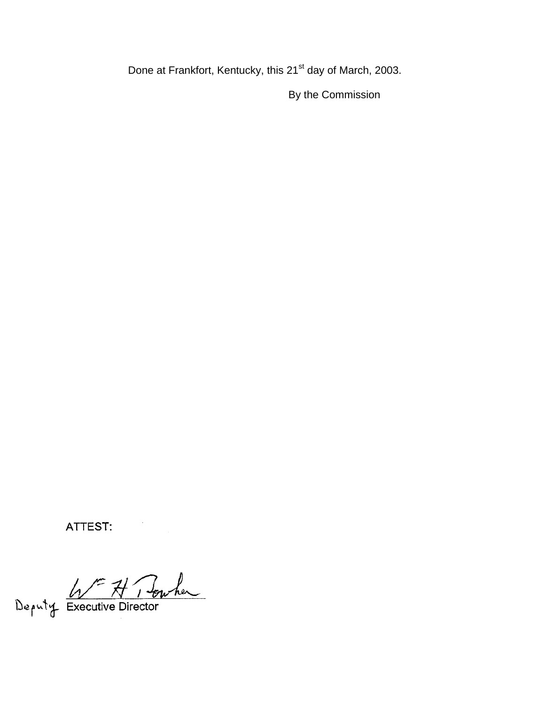Done at Frankfort, Kentucky, this 21<sup>st</sup> day of March, 2003.

By the Commission

ATTEST:

Deputy Executive Director